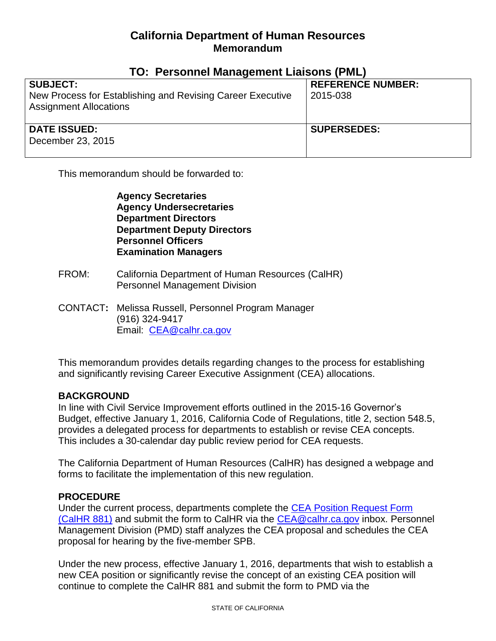## **California Department of Human Resources Memorandum**

| <u>IU. I GISUIIIGI MAHAYGIIIGIIL LIAISUIIS (I ML)</u>                                       |                          |
|---------------------------------------------------------------------------------------------|--------------------------|
| <b>SUBJECT:</b>                                                                             | <b>REFERENCE NUMBER:</b> |
| New Process for Establishing and Revising Career Executive<br><b>Assignment Allocations</b> | 2015-038                 |
| <b>DATE ISSUED:</b><br>December 23, 2015                                                    | <b>SUPERSEDES:</b>       |

## **TO: Personnel Management Liaisons (PML)**

This memorandum should be forwarded to:

**Agency Secretaries Agency Undersecretaries Department Directors Department Deputy Directors Personnel Officers Examination Managers**

- FROM: California Department of Human Resources (CalHR) Personnel Management Division
- CONTACT**:** Melissa Russell, Personnel Program Manager (916) 324-9417 Email: [CEA@calhr.ca.gov](mailto:CEA@calhr.ca.gov)

This memorandum provides details regarding changes to the process for establishing and significantly revising Career Executive Assignment (CEA) allocations.

## **BACKGROUND**

In line with Civil Service Improvement efforts outlined in the 2015-16 Governor's Budget, effective January 1, 2016, California Code of Regulations, title 2, section 548.5, provides a delegated process for departments to establish or revise CEA concepts. This includes a 30-calendar day public review period for CEA requests.

The California Department of Human Resources (CalHR) has designed a webpage and forms to facilitate the implementation of this new regulation.

## **PROCEDURE**

Under the current process, departments complete the [CEA Position Request Form](http://www.calhr.ca.gov/Documents/calhr-881.pdf)  [\(CalHR 881\)](http://www.calhr.ca.gov/Documents/calhr-881.pdf) and submit the form to CalHR via the [CEA@calhr.ca.gov](mailto:CEA@calhr.ca.gov) inbox. Personnel Management Division (PMD) staff analyzes the CEA proposal and schedules the CEA proposal for hearing by the five-member SPB.

Under the new process, effective January 1, 2016, departments that wish to establish a new CEA position or significantly revise the concept of an existing CEA position will continue to complete the CalHR 881 and submit the form to PMD via the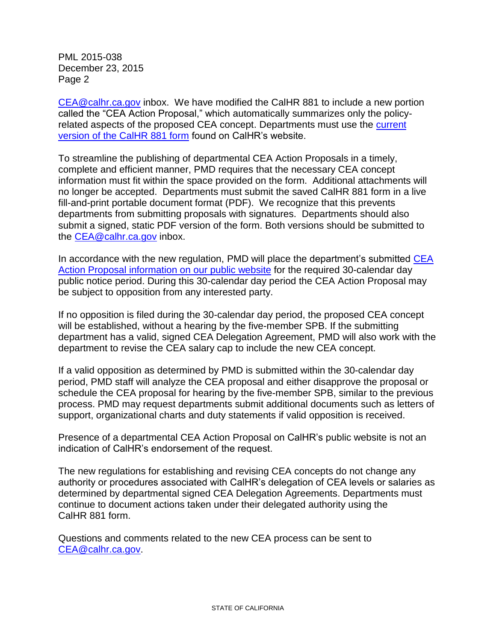PML 2015-038 December 23, 2015 Page 2

[CEA@calhr.ca.gov](mailto:CEA@calhr.ca.gov) inbox. We have modified the CalHR 881 to include a new portion called the "CEA Action Proposal," which automatically summarizes only the policyrelated aspects of the proposed CEA concept. Departments must use the [current](http://www.calhr.ca.gov/Documents/calhr-881.pdf)  [version of the CalHR 881 form](http://www.calhr.ca.gov/Documents/calhr-881.pdf) found on CalHR's website.

To streamline the publishing of departmental CEA Action Proposals in a timely, complete and efficient manner, PMD requires that the necessary CEA concept information must fit within the space provided on the form. Additional attachments will no longer be accepted. Departments must submit the saved CalHR 881 form in a live fill-and-print portable document format (PDF). We recognize that this prevents departments from submitting proposals with signatures. Departments should also submit a signed, static PDF version of the form. Both versions should be submitted to the [CEA@calhr.ca.gov](mailto:CEA@calhr.ca.gov) inbox.

In accordance with the new regulation, PMD will place the department's submitted CEA Action Proposal [information on our](http://www.calhr.ca.gov/state-hr-professionals/Pages/cea-concepts.aspx) public website for the required 30-calendar day public notice period. During this 30-calendar day period the CEA Action Proposal may be subject to opposition from any interested party.

If no opposition is filed during the 30-calendar day period, the proposed CEA concept will be established, without a hearing by the five-member SPB. If the submitting department has a valid, signed CEA Delegation Agreement, PMD will also work with the department to revise the CEA salary cap to include the new CEA concept.

If a valid opposition as determined by PMD is submitted within the 30-calendar day period, PMD staff will analyze the CEA proposal and either disapprove the proposal or schedule the CEA proposal for hearing by the five-member SPB, similar to the previous process. PMD may request departments submit additional documents such as letters of support, organizational charts and duty statements if valid opposition is received.

Presence of a departmental CEA Action Proposal on CalHR's public website is not an indication of CalHR's endorsement of the request.

The new regulations for establishing and revising CEA concepts do not change any authority or procedures associated with CalHR's delegation of CEA levels or salaries as determined by departmental signed CEA Delegation Agreements. Departments must continue to document actions taken under their delegated authority using the CalHR 881 form.

Questions and comments related to the new CEA process can be sent to [CEA@calhr.ca.gov.](mailto:CEA@calhr.ca.gov)